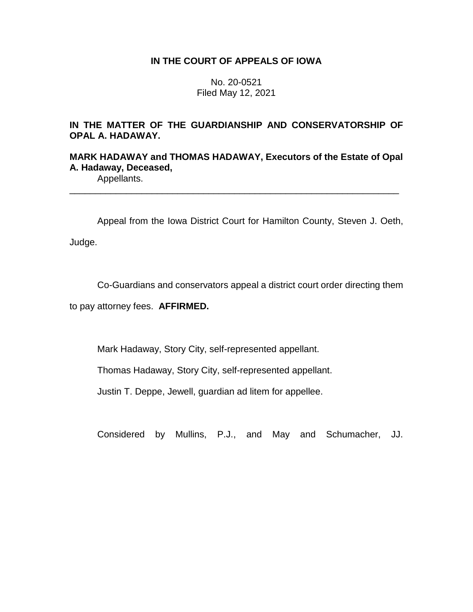## **IN THE COURT OF APPEALS OF IOWA**

No. 20-0521 Filed May 12, 2021

# **IN THE MATTER OF THE GUARDIANSHIP AND CONSERVATORSHIP OF OPAL A. HADAWAY.**

# **MARK HADAWAY and THOMAS HADAWAY, Executors of the Estate of Opal A. Hadaway, Deceased,**

\_\_\_\_\_\_\_\_\_\_\_\_\_\_\_\_\_\_\_\_\_\_\_\_\_\_\_\_\_\_\_\_\_\_\_\_\_\_\_\_\_\_\_\_\_\_\_\_\_\_\_\_\_\_\_\_\_\_\_\_\_\_\_\_

Appellants.

Appeal from the Iowa District Court for Hamilton County, Steven J. Oeth,

Judge.

Co-Guardians and conservators appeal a district court order directing them

to pay attorney fees. **AFFIRMED.**

Mark Hadaway, Story City, self-represented appellant.

Thomas Hadaway, Story City, self-represented appellant.

Justin T. Deppe, Jewell, guardian ad litem for appellee.

Considered by Mullins, P.J., and May and Schumacher, JJ.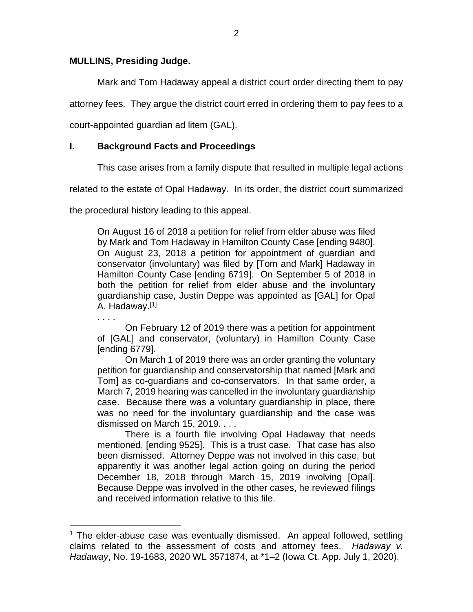## **MULLINS, Presiding Judge.**

 $\overline{a}$ 

Mark and Tom Hadaway appeal a district court order directing them to pay

attorney fees. They argue the district court erred in ordering them to pay fees to a

court-appointed guardian ad litem (GAL).

# **I. Background Facts and Proceedings**

This case arises from a family dispute that resulted in multiple legal actions

related to the estate of Opal Hadaway. In its order, the district court summarized

the procedural history leading to this appeal.

On August 16 of 2018 a petition for relief from elder abuse was filed by Mark and Tom Hadaway in Hamilton County Case [ending 9480]. On August 23, 2018 a petition for appointment of guardian and conservator (involuntary) was filed by [Tom and Mark] Hadaway in Hamilton County Case [ending 6719]. On September 5 of 2018 in both the petition for relief from elder abuse and the involuntary guardianship case, Justin Deppe was appointed as [GAL] for Opal A. Hadaway.[1]

. . . . On February 12 of 2019 there was a petition for appointment of [GAL] and conservator, (voluntary) in Hamilton County Case [ending 6779].

On March 1 of 2019 there was an order granting the voluntary petition for guardianship and conservatorship that named [Mark and Tom] as co-guardians and co-conservators. In that same order, a March 7, 2019 hearing was cancelled in the involuntary guardianship case. Because there was a voluntary guardianship in place, there was no need for the involuntary guardianship and the case was dismissed on March 15, 2019. . . .

There is a fourth file involving Opal Hadaway that needs mentioned, [ending 9525]. This is a trust case. That case has also been dismissed. Attorney Deppe was not involved in this case, but apparently it was another legal action going on during the period December 18, 2018 through March 15, 2019 involving [Opal]. Because Deppe was involved in the other cases, he reviewed filings and received information relative to this file.

 $1$  The elder-abuse case was eventually dismissed. An appeal followed, settling claims related to the assessment of costs and attorney fees. *Hadaway v. Hadaway*, No. 19-1683, 2020 WL 3571874, at \*1–2 (Iowa Ct. App. July 1, 2020).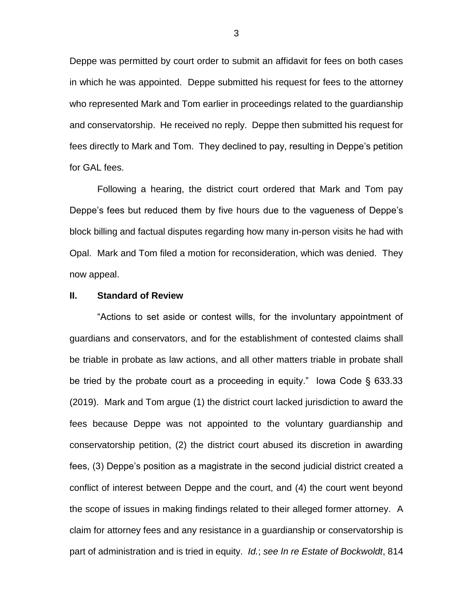Deppe was permitted by court order to submit an affidavit for fees on both cases in which he was appointed. Deppe submitted his request for fees to the attorney who represented Mark and Tom earlier in proceedings related to the guardianship and conservatorship. He received no reply. Deppe then submitted his request for fees directly to Mark and Tom. They declined to pay, resulting in Deppe's petition for GAL fees.

Following a hearing, the district court ordered that Mark and Tom pay Deppe's fees but reduced them by five hours due to the vagueness of Deppe's block billing and factual disputes regarding how many in-person visits he had with Opal. Mark and Tom filed a motion for reconsideration, which was denied. They now appeal.

### **II. Standard of Review**

"Actions to set aside or contest wills, for the involuntary appointment of guardians and conservators, and for the establishment of contested claims shall be triable in probate as law actions, and all other matters triable in probate shall be tried by the probate court as a proceeding in equity." Iowa Code § 633.33 (2019). Mark and Tom argue (1) the district court lacked jurisdiction to award the fees because Deppe was not appointed to the voluntary guardianship and conservatorship petition, (2) the district court abused its discretion in awarding fees, (3) Deppe's position as a magistrate in the second judicial district created a conflict of interest between Deppe and the court, and (4) the court went beyond the scope of issues in making findings related to their alleged former attorney. A claim for attorney fees and any resistance in a guardianship or conservatorship is part of administration and is tried in equity. *Id.*; *see In re Estate of Bockwoldt*, 814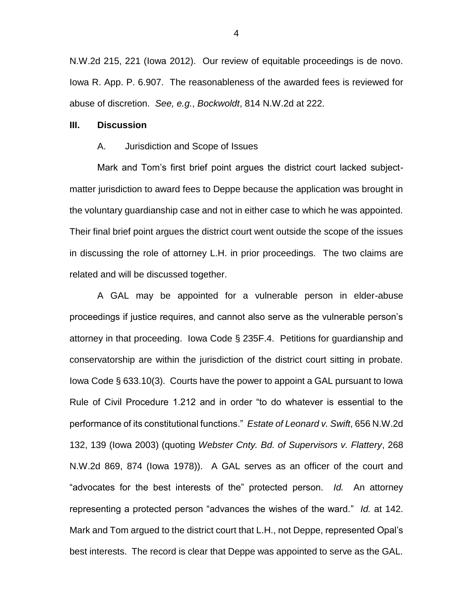N.W.2d 215, 221 (Iowa 2012). Our review of equitable proceedings is de novo. Iowa R. App. P. 6.907. The reasonableness of the awarded fees is reviewed for abuse of discretion. *See, e.g.*, *Bockwoldt*, 814 N.W.2d at 222.

### **III. Discussion**

#### A. Jurisdiction and Scope of Issues

Mark and Tom's first brief point argues the district court lacked subjectmatter jurisdiction to award fees to Deppe because the application was brought in the voluntary guardianship case and not in either case to which he was appointed. Their final brief point argues the district court went outside the scope of the issues in discussing the role of attorney L.H. in prior proceedings. The two claims are related and will be discussed together.

A GAL may be appointed for a vulnerable person in elder-abuse proceedings if justice requires, and cannot also serve as the vulnerable person's attorney in that proceeding. Iowa Code § 235F.4. Petitions for guardianship and conservatorship are within the jurisdiction of the district court sitting in probate. Iowa Code § 633.10(3). Courts have the power to appoint a GAL pursuant to Iowa Rule of Civil Procedure 1.212 and in order "to do whatever is essential to the performance of its constitutional functions." *Estate of Leonard v. Swift*, 656 N.W.2d 132, 139 (Iowa 2003) (quoting *Webster Cnty. Bd. of Supervisors v. Flattery*, 268 N.W.2d 869, 874 (Iowa 1978)). A GAL serves as an officer of the court and "advocates for the best interests of the" protected person. *Id.* An attorney representing a protected person "advances the wishes of the ward." *Id.* at 142. Mark and Tom argued to the district court that L.H., not Deppe, represented Opal's best interests. The record is clear that Deppe was appointed to serve as the GAL.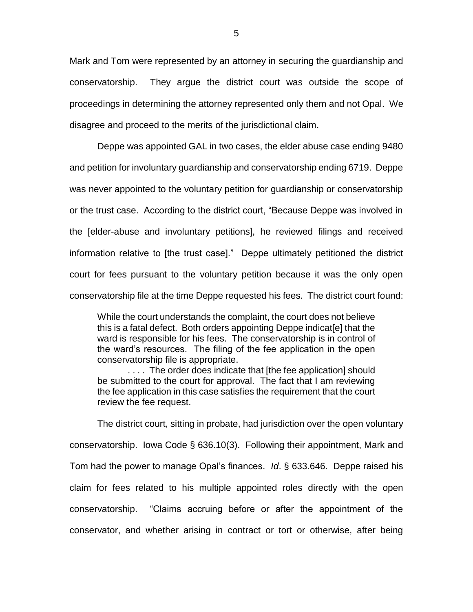Mark and Tom were represented by an attorney in securing the guardianship and conservatorship. They argue the district court was outside the scope of proceedings in determining the attorney represented only them and not Opal. We disagree and proceed to the merits of the jurisdictional claim.

Deppe was appointed GAL in two cases, the elder abuse case ending 9480 and petition for involuntary guardianship and conservatorship ending 6719. Deppe was never appointed to the voluntary petition for guardianship or conservatorship or the trust case. According to the district court, "Because Deppe was involved in the [elder-abuse and involuntary petitions], he reviewed filings and received information relative to [the trust case]." Deppe ultimately petitioned the district court for fees pursuant to the voluntary petition because it was the only open conservatorship file at the time Deppe requested his fees. The district court found:

While the court understands the complaint, the court does not believe this is a fatal defect. Both orders appointing Deppe indicat[e] that the ward is responsible for his fees. The conservatorship is in control of the ward's resources. The filing of the fee application in the open conservatorship file is appropriate.

.... The order does indicate that [the fee application] should be submitted to the court for approval. The fact that I am reviewing the fee application in this case satisfies the requirement that the court review the fee request.

The district court, sitting in probate, had jurisdiction over the open voluntary conservatorship. Iowa Code § 636.10(3). Following their appointment, Mark and Tom had the power to manage Opal's finances. *Id*. § 633.646. Deppe raised his claim for fees related to his multiple appointed roles directly with the open conservatorship. "Claims accruing before or after the appointment of the conservator, and whether arising in contract or tort or otherwise, after being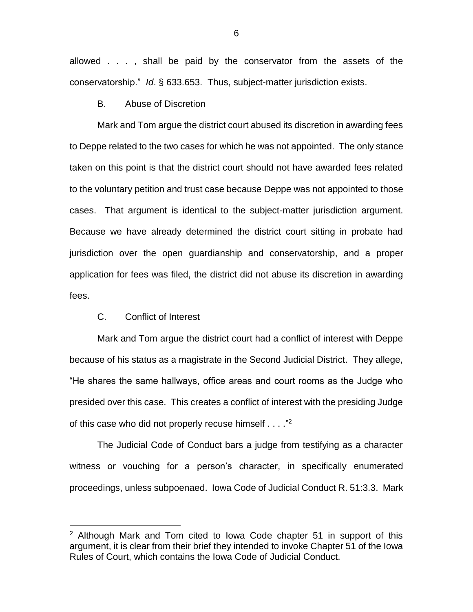allowed . . . , shall be paid by the conservator from the assets of the conservatorship." *Id*. § 633.653. Thus, subject-matter jurisdiction exists.

B. Abuse of Discretion

Mark and Tom argue the district court abused its discretion in awarding fees to Deppe related to the two cases for which he was not appointed. The only stance taken on this point is that the district court should not have awarded fees related to the voluntary petition and trust case because Deppe was not appointed to those cases. That argument is identical to the subject-matter jurisdiction argument. Because we have already determined the district court sitting in probate had jurisdiction over the open guardianship and conservatorship, and a proper application for fees was filed, the district did not abuse its discretion in awarding fees.

### C. Conflict of Interest

 $\overline{a}$ 

Mark and Tom argue the district court had a conflict of interest with Deppe because of his status as a magistrate in the Second Judicial District. They allege, "He shares the same hallways, office areas and court rooms as the Judge who presided over this case. This creates a conflict of interest with the presiding Judge of this case who did not properly recuse himself . . . . "<sup>2</sup>

The Judicial Code of Conduct bars a judge from testifying as a character witness or vouching for a person's character, in specifically enumerated proceedings, unless subpoenaed. Iowa Code of Judicial Conduct R. 51:3.3. Mark

 $2$  Although Mark and Tom cited to lowa Code chapter 51 in support of this argument, it is clear from their brief they intended to invoke Chapter 51 of the Iowa Rules of Court, which contains the Iowa Code of Judicial Conduct.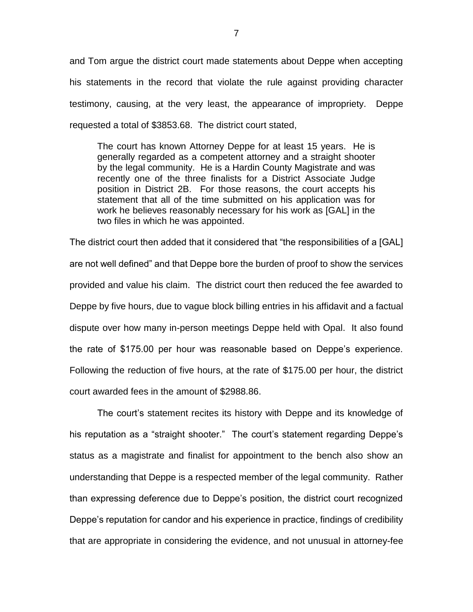and Tom argue the district court made statements about Deppe when accepting his statements in the record that violate the rule against providing character testimony, causing, at the very least, the appearance of impropriety. Deppe requested a total of \$3853.68. The district court stated,

The court has known Attorney Deppe for at least 15 years. He is generally regarded as a competent attorney and a straight shooter by the legal community. He is a Hardin County Magistrate and was recently one of the three finalists for a District Associate Judge position in District 2B. For those reasons, the court accepts his statement that all of the time submitted on his application was for work he believes reasonably necessary for his work as [GAL] in the two files in which he was appointed.

The district court then added that it considered that "the responsibilities of a [GAL] are not well defined" and that Deppe bore the burden of proof to show the services provided and value his claim. The district court then reduced the fee awarded to Deppe by five hours, due to vague block billing entries in his affidavit and a factual dispute over how many in-person meetings Deppe held with Opal. It also found the rate of \$175.00 per hour was reasonable based on Deppe's experience. Following the reduction of five hours, at the rate of \$175.00 per hour, the district court awarded fees in the amount of \$2988.86.

The court's statement recites its history with Deppe and its knowledge of his reputation as a "straight shooter." The court's statement regarding Deppe's status as a magistrate and finalist for appointment to the bench also show an understanding that Deppe is a respected member of the legal community. Rather than expressing deference due to Deppe's position, the district court recognized Deppe's reputation for candor and his experience in practice, findings of credibility that are appropriate in considering the evidence, and not unusual in attorney-fee